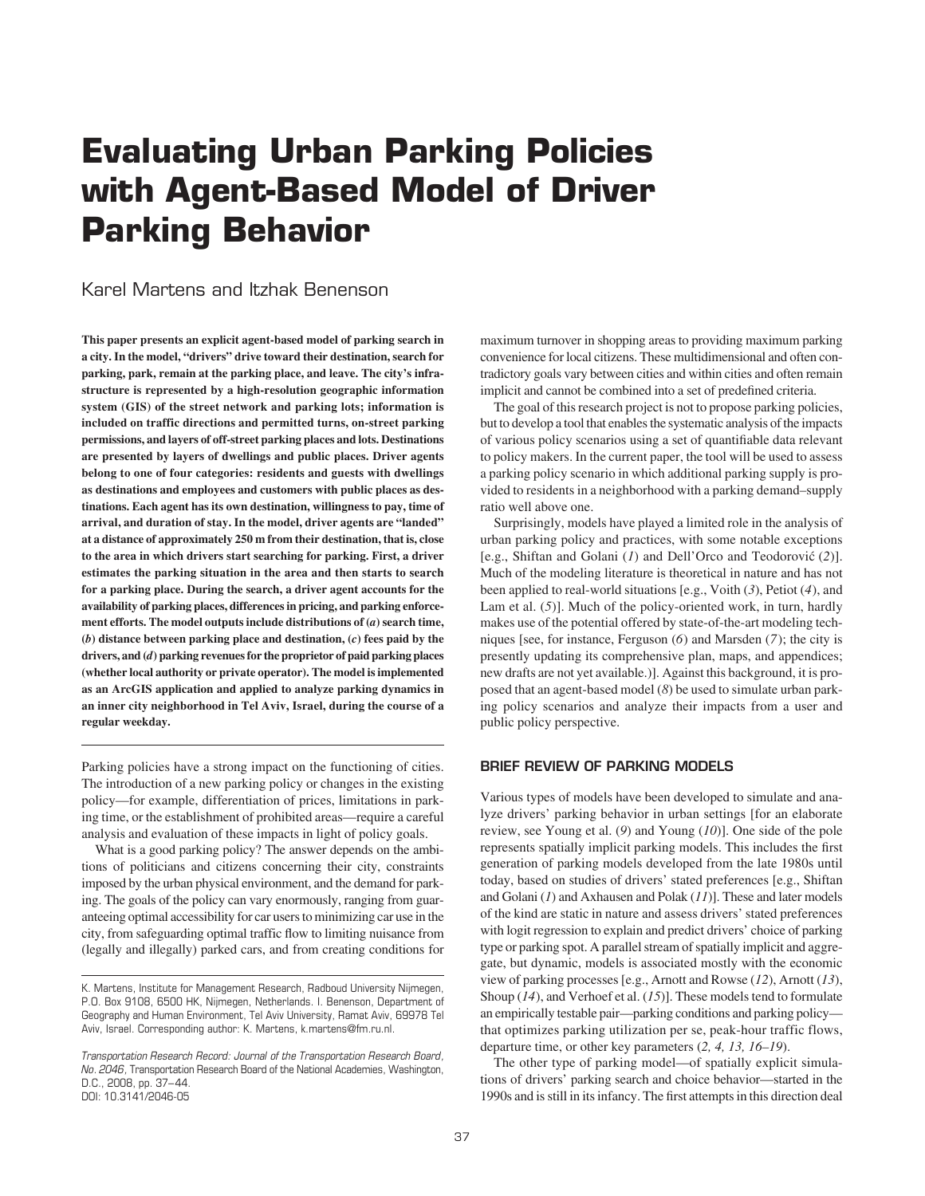# **Evaluating Urban Parking Policies with Agent-Based Model of Driver Parking Behavior**

## Karel Martens and Itzhak Benenson

**This paper presents an explicit agent-based model of parking search in a city. In the model, "drivers" drive toward their destination, search for parking, park, remain at the parking place, and leave. The city's infrastructure is represented by a high-resolution geographic information system (GIS) of the street network and parking lots; information is included on traffic directions and permitted turns, on-street parking permissions, and layers of off-street parking places and lots. Destinations are presented by layers of dwellings and public places. Driver agents belong to one of four categories: residents and guests with dwellings as destinations and employees and customers with public places as destinations. Each agent has its own destination, willingness to pay, time of arrival, and duration of stay. In the model, driver agents are "landed" at a distance of approximately 250 m from their destination, that is, close to the area in which drivers start searching for parking. First, a driver estimates the parking situation in the area and then starts to search for a parking place. During the search, a driver agent accounts for the availability of parking places, differences in pricing, and parking enforcement efforts. The model outputs include distributions of (***a***) search time, (***b***) distance between parking place and destination, (***c***) fees paid by the drivers, and (***d***) parking revenues for the proprietor of paid parking places (whether local authority or private operator). The model is implemented as an ArcGIS application and applied to analyze parking dynamics in an inner city neighborhood in Tel Aviv, Israel, during the course of a regular weekday.**

Parking policies have a strong impact on the functioning of cities. The introduction of a new parking policy or changes in the existing policy—for example, differentiation of prices, limitations in parking time, or the establishment of prohibited areas—require a careful analysis and evaluation of these impacts in light of policy goals.

What is a good parking policy? The answer depends on the ambitions of politicians and citizens concerning their city, constraints imposed by the urban physical environment, and the demand for parking. The goals of the policy can vary enormously, ranging from guaranteeing optimal accessibility for car users to minimizing car use in the city, from safeguarding optimal traffic flow to limiting nuisance from (legally and illegally) parked cars, and from creating conditions for

maximum turnover in shopping areas to providing maximum parking convenience for local citizens. These multidimensional and often contradictory goals vary between cities and within cities and often remain implicit and cannot be combined into a set of predefined criteria.

The goal of this research project is not to propose parking policies, but to develop a tool that enables the systematic analysis of the impacts of various policy scenarios using a set of quantifiable data relevant to policy makers. In the current paper, the tool will be used to assess a parking policy scenario in which additional parking supply is provided to residents in a neighborhood with a parking demand–supply ratio well above one.

Surprisingly, models have played a limited role in the analysis of urban parking policy and practices, with some notable exceptions [e.g., Shiftan and Golani (*1*) and Dell'Orco and Teodorovic´ (*2*)]. Much of the modeling literature is theoretical in nature and has not been applied to real-world situations [e.g., Voith (*3*), Petiot (*4*), and Lam et al. (*5*)]. Much of the policy-oriented work, in turn, hardly makes use of the potential offered by state-of-the-art modeling techniques [see, for instance, Ferguson (*6*) and Marsden (*7*); the city is presently updating its comprehensive plan, maps, and appendices; new drafts are not yet available.)]. Against this background, it is proposed that an agent-based model (*8*) be used to simulate urban parking policy scenarios and analyze their impacts from a user and public policy perspective.

## **BRIEF REVIEW OF PARKING MODELS**

Various types of models have been developed to simulate and analyze drivers' parking behavior in urban settings [for an elaborate review, see Young et al. (*9*) and Young (*10*)]. One side of the pole represents spatially implicit parking models. This includes the first generation of parking models developed from the late 1980s until today, based on studies of drivers' stated preferences [e.g., Shiftan and Golani (*1*) and Axhausen and Polak (*11*)]. These and later models of the kind are static in nature and assess drivers' stated preferences with logit regression to explain and predict drivers' choice of parking type or parking spot. A parallel stream of spatially implicit and aggregate, but dynamic, models is associated mostly with the economic view of parking processes [e.g., Arnott and Rowse (*12*), Arnott (*13*), Shoup (*14*), and Verhoef et al. (*15*)]. These models tend to formulate an empirically testable pair—parking conditions and parking policy that optimizes parking utilization per se, peak-hour traffic flows, departure time, or other key parameters (*2, 4, 13, 16–19*).

The other type of parking model—of spatially explicit simulations of drivers' parking search and choice behavior—started in the 1990s and is still in its infancy. The first attempts in this direction deal

K. Martens, Institute for Management Research, Radboud University Nijmegen, P.O. Box 9108, 6500 HK, Nijmegen, Netherlands. I. Benenson, Department of Geography and Human Environment, Tel Aviv University, Ramat Aviv, 69978 Tel Aviv, Israel. Corresponding author: K. Martens, k.martens@fm.ru.nl.

*Transportation Research Record: Journal of the Transportation Research Board, No. 2046,* Transportation Research Board of the National Academies, Washington, D.C., 2008, pp. 37–44. DOI: 10.3141/2046-05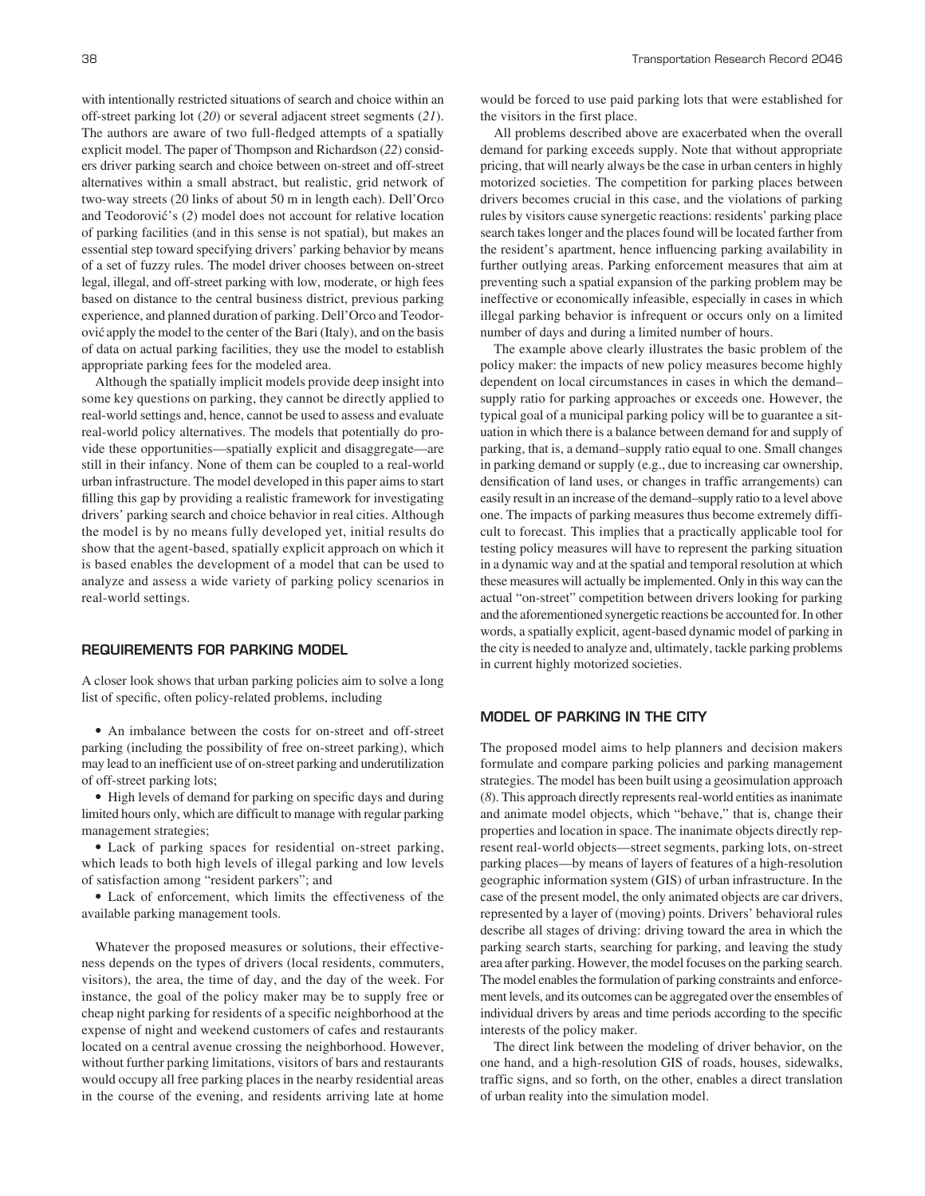with intentionally restricted situations of search and choice within an off-street parking lot (*20*) or several adjacent street segments (*21*). The authors are aware of two full-fledged attempts of a spatially explicit model. The paper of Thompson and Richardson (*22*) considers driver parking search and choice between on-street and off-street alternatives within a small abstract, but realistic, grid network of two-way streets (20 links of about 50 m in length each). Dell'Orco and Teodorović's (2) model does not account for relative location of parking facilities (and in this sense is not spatial), but makes an essential step toward specifying drivers' parking behavior by means of a set of fuzzy rules. The model driver chooses between on-street legal, illegal, and off-street parking with low, moderate, or high fees based on distance to the central business district, previous parking experience, and planned duration of parking. Dell'Orco and Teodorović apply the model to the center of the Bari (Italy), and on the basis of data on actual parking facilities, they use the model to establish appropriate parking fees for the modeled area.

Although the spatially implicit models provide deep insight into some key questions on parking, they cannot be directly applied to real-world settings and, hence, cannot be used to assess and evaluate real-world policy alternatives. The models that potentially do provide these opportunities—spatially explicit and disaggregate—are still in their infancy. None of them can be coupled to a real-world urban infrastructure. The model developed in this paper aims to start filling this gap by providing a realistic framework for investigating drivers' parking search and choice behavior in real cities. Although the model is by no means fully developed yet, initial results do show that the agent-based, spatially explicit approach on which it is based enables the development of a model that can be used to analyze and assess a wide variety of parking policy scenarios in real-world settings.

#### **REQUIREMENTS FOR PARKING MODEL**

A closer look shows that urban parking policies aim to solve a long list of specific, often policy-related problems, including

• An imbalance between the costs for on-street and off-street parking (including the possibility of free on-street parking), which may lead to an inefficient use of on-street parking and underutilization of off-street parking lots;

• High levels of demand for parking on specific days and during limited hours only, which are difficult to manage with regular parking management strategies;

• Lack of parking spaces for residential on-street parking, which leads to both high levels of illegal parking and low levels of satisfaction among "resident parkers"; and

• Lack of enforcement, which limits the effectiveness of the available parking management tools.

Whatever the proposed measures or solutions, their effectiveness depends on the types of drivers (local residents, commuters, visitors), the area, the time of day, and the day of the week. For instance, the goal of the policy maker may be to supply free or cheap night parking for residents of a specific neighborhood at the expense of night and weekend customers of cafes and restaurants located on a central avenue crossing the neighborhood. However, without further parking limitations, visitors of bars and restaurants would occupy all free parking places in the nearby residential areas in the course of the evening, and residents arriving late at home would be forced to use paid parking lots that were established for the visitors in the first place.

All problems described above are exacerbated when the overall demand for parking exceeds supply. Note that without appropriate pricing, that will nearly always be the case in urban centers in highly motorized societies. The competition for parking places between drivers becomes crucial in this case, and the violations of parking rules by visitors cause synergetic reactions: residents' parking place search takes longer and the places found will be located farther from the resident's apartment, hence influencing parking availability in further outlying areas. Parking enforcement measures that aim at preventing such a spatial expansion of the parking problem may be ineffective or economically infeasible, especially in cases in which illegal parking behavior is infrequent or occurs only on a limited number of days and during a limited number of hours.

The example above clearly illustrates the basic problem of the policy maker: the impacts of new policy measures become highly dependent on local circumstances in cases in which the demand– supply ratio for parking approaches or exceeds one. However, the typical goal of a municipal parking policy will be to guarantee a situation in which there is a balance between demand for and supply of parking, that is, a demand–supply ratio equal to one. Small changes in parking demand or supply (e.g., due to increasing car ownership, densification of land uses, or changes in traffic arrangements) can easily result in an increase of the demand–supply ratio to a level above one. The impacts of parking measures thus become extremely difficult to forecast. This implies that a practically applicable tool for testing policy measures will have to represent the parking situation in a dynamic way and at the spatial and temporal resolution at which these measures will actually be implemented. Only in this way can the actual "on-street" competition between drivers looking for parking and the aforementioned synergetic reactions be accounted for. In other words, a spatially explicit, agent-based dynamic model of parking in the city is needed to analyze and, ultimately, tackle parking problems in current highly motorized societies.

#### **MODEL OF PARKING IN THE CITY**

The proposed model aims to help planners and decision makers formulate and compare parking policies and parking management strategies. The model has been built using a geosimulation approach (*8*). This approach directly represents real-world entities as inanimate and animate model objects, which "behave," that is, change their properties and location in space. The inanimate objects directly represent real-world objects—street segments, parking lots, on-street parking places—by means of layers of features of a high-resolution geographic information system (GIS) of urban infrastructure. In the case of the present model, the only animated objects are car drivers, represented by a layer of (moving) points. Drivers' behavioral rules describe all stages of driving: driving toward the area in which the parking search starts, searching for parking, and leaving the study area after parking. However, the model focuses on the parking search. The model enables the formulation of parking constraints and enforcement levels, and its outcomes can be aggregated over the ensembles of individual drivers by areas and time periods according to the specific interests of the policy maker.

The direct link between the modeling of driver behavior, on the one hand, and a high-resolution GIS of roads, houses, sidewalks, traffic signs, and so forth, on the other, enables a direct translation of urban reality into the simulation model.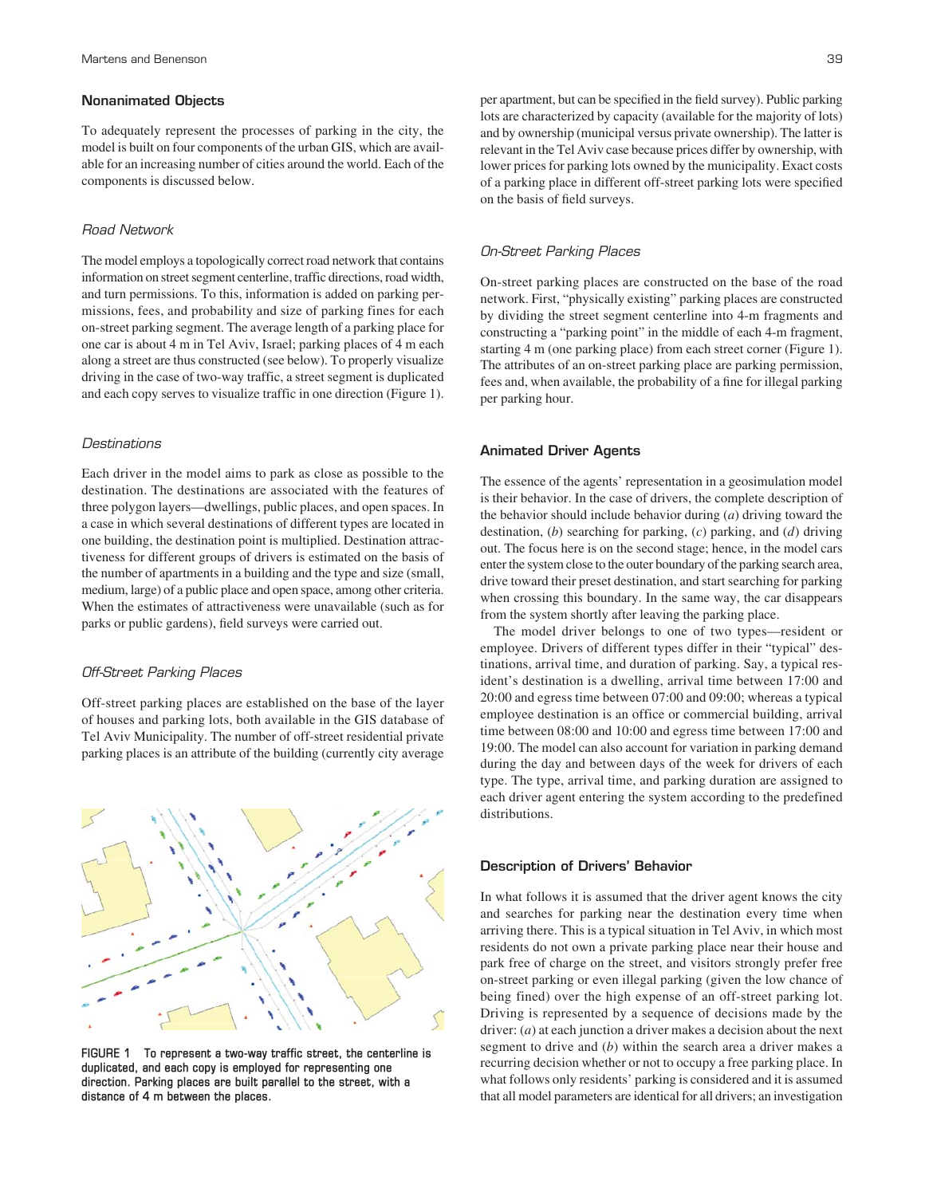#### **Nonanimated Objects**

To adequately represent the processes of parking in the city, the model is built on four components of the urban GIS, which are available for an increasing number of cities around the world. Each of the components is discussed below.

#### Road Network

The model employs a topologically correct road network that contains information on street segment centerline, traffic directions, road width, and turn permissions. To this, information is added on parking permissions, fees, and probability and size of parking fines for each on-street parking segment. The average length of a parking place for one car is about 4 m in Tel Aviv, Israel; parking places of 4 m each along a street are thus constructed (see below). To properly visualize driving in the case of two-way traffic, a street segment is duplicated and each copy serves to visualize traffic in one direction (Figure 1).

#### **Destinations**

Each driver in the model aims to park as close as possible to the destination. The destinations are associated with the features of three polygon layers—dwellings, public places, and open spaces. In a case in which several destinations of different types are located in one building, the destination point is multiplied. Destination attractiveness for different groups of drivers is estimated on the basis of the number of apartments in a building and the type and size (small, medium, large) of a public place and open space, among other criteria. When the estimates of attractiveness were unavailable (such as for parks or public gardens), field surveys were carried out.

#### Off-Street Parking Places

Off-street parking places are established on the base of the layer of houses and parking lots, both available in the GIS database of Tel Aviv Municipality. The number of off-street residential private parking places is an attribute of the building (currently city average



**FIGURE 1 To represent a two-way traffic street, the centerline is duplicated, and each copy is employed for representing one direction. Parking places are built parallel to the street, with a distance of 4 m between the places.**

per apartment, but can be specified in the field survey). Public parking lots are characterized by capacity (available for the majority of lots) and by ownership (municipal versus private ownership). The latter is relevant in the Tel Aviv case because prices differ by ownership, with lower prices for parking lots owned by the municipality. Exact costs of a parking place in different off-street parking lots were specified on the basis of field surveys.

#### On-Street Parking Places

On-street parking places are constructed on the base of the road network. First, "physically existing" parking places are constructed by dividing the street segment centerline into 4-m fragments and constructing a "parking point" in the middle of each 4-m fragment, starting 4 m (one parking place) from each street corner (Figure 1). The attributes of an on-street parking place are parking permission, fees and, when available, the probability of a fine for illegal parking per parking hour.

#### **Animated Driver Agents**

The essence of the agents' representation in a geosimulation model is their behavior. In the case of drivers, the complete description of the behavior should include behavior during (*a*) driving toward the destination, (*b*) searching for parking, (*c*) parking, and (*d*) driving out. The focus here is on the second stage; hence, in the model cars enter the system close to the outer boundary of the parking search area, drive toward their preset destination, and start searching for parking when crossing this boundary. In the same way, the car disappears from the system shortly after leaving the parking place.

The model driver belongs to one of two types—resident or employee. Drivers of different types differ in their "typical" destinations, arrival time, and duration of parking. Say, a typical resident's destination is a dwelling, arrival time between 17:00 and 20:00 and egress time between 07:00 and 09:00; whereas a typical employee destination is an office or commercial building, arrival time between 08:00 and 10:00 and egress time between 17:00 and 19:00. The model can also account for variation in parking demand during the day and between days of the week for drivers of each type. The type, arrival time, and parking duration are assigned to each driver agent entering the system according to the predefined distributions.

#### **Description of Drivers' Behavior**

In what follows it is assumed that the driver agent knows the city and searches for parking near the destination every time when arriving there. This is a typical situation in Tel Aviv, in which most residents do not own a private parking place near their house and park free of charge on the street, and visitors strongly prefer free on-street parking or even illegal parking (given the low chance of being fined) over the high expense of an off-street parking lot. Driving is represented by a sequence of decisions made by the driver: (*a*) at each junction a driver makes a decision about the next segment to drive and (*b*) within the search area a driver makes a recurring decision whether or not to occupy a free parking place. In what follows only residents' parking is considered and it is assumed that all model parameters are identical for all drivers; an investigation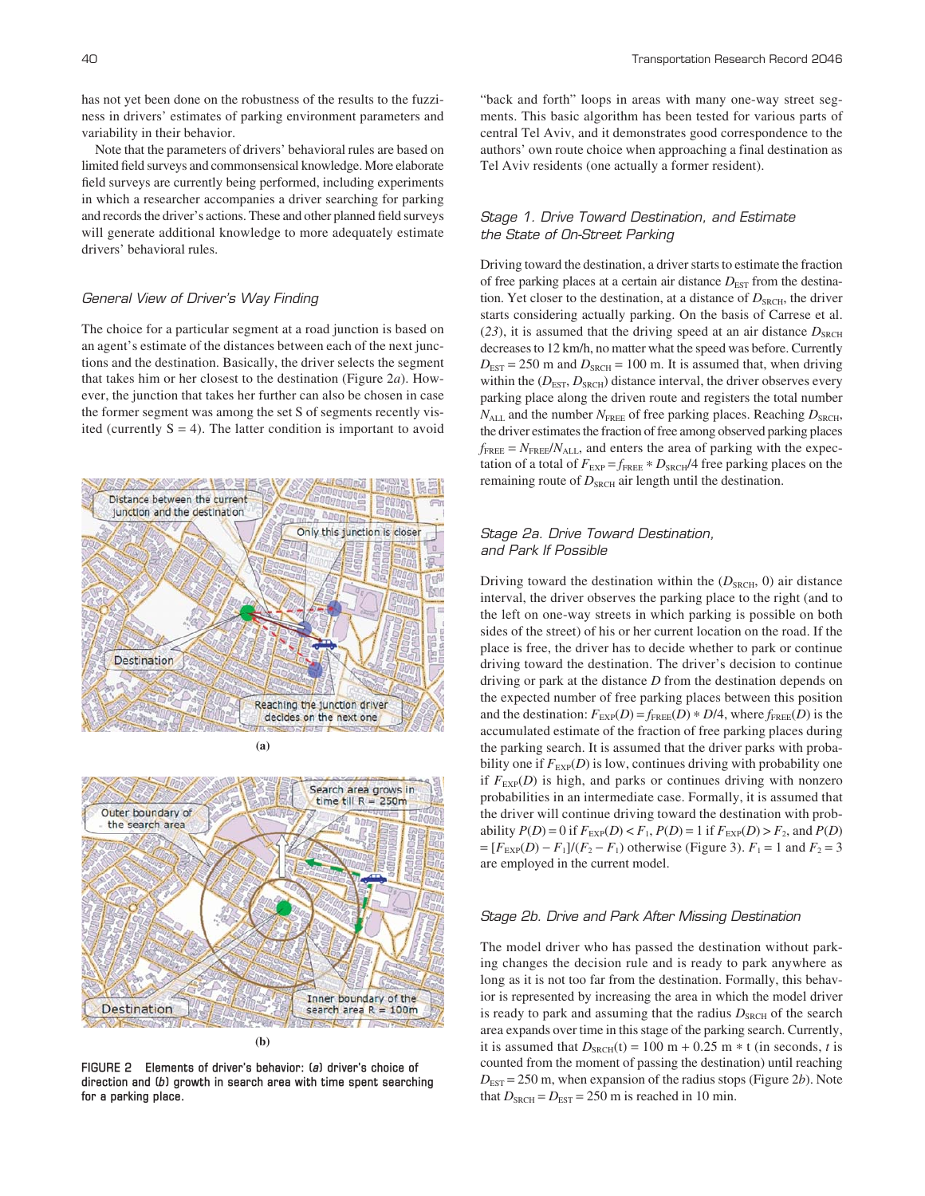has not yet been done on the robustness of the results to the fuzziness in drivers' estimates of parking environment parameters and variability in their behavior.

Note that the parameters of drivers' behavioral rules are based on limited field surveys and commonsensical knowledge. More elaborate field surveys are currently being performed, including experiments in which a researcher accompanies a driver searching for parking and records the driver's actions. These and other planned field surveys will generate additional knowledge to more adequately estimate drivers' behavioral rules.

### General View of Driver's Way Finding

The choice for a particular segment at a road junction is based on an agent's estimate of the distances between each of the next junctions and the destination. Basically, the driver selects the segment that takes him or her closest to the destination (Figure 2*a*). However, the junction that takes her further can also be chosen in case the former segment was among the set S of segments recently visited (currently  $S = 4$ ). The latter condition is important to avoid





**FIGURE 2 Elements of driver's behavior: (***a***) driver's choice of direction and (***b***) growth in search area with time spent searching for a parking place.**

"back and forth" loops in areas with many one-way street segments. This basic algorithm has been tested for various parts of central Tel Aviv, and it demonstrates good correspondence to the authors' own route choice when approaching a final destination as Tel Aviv residents (one actually a former resident).

## Stage 1. Drive Toward Destination, and Estimate the State of On-Street Parking

Driving toward the destination, a driver starts to estimate the fraction of free parking places at a certain air distance  $D_{\text{EST}}$  from the destination. Yet closer to the destination, at a distance of  $D_{\text{SRCH}}$ , the driver starts considering actually parking. On the basis of Carrese et al. ( $23$ ), it is assumed that the driving speed at an air distance  $D_{\text{SRCH}}$ decreases to 12 km/h, no matter what the speed was before. Currently  $D_{\text{EST}} = 250$  m and  $D_{\text{SRCH}} = 100$  m. It is assumed that, when driving within the  $(D_{EST}, D_{SRCH})$  distance interval, the driver observes every parking place along the driven route and registers the total number  $N<sub>ALL</sub>$  and the number  $N<sub>FREE</sub>$  of free parking places. Reaching  $D<sub>SRCH</sub>$ , the driver estimates the fraction of free among observed parking places  $f_{\text{FREE}} = N_{\text{FREE}}/N_{\text{ALL}}$ , and enters the area of parking with the expectation of a total of  $F_{\text{EXP}} = f_{\text{FREE}} * D_{\text{SRCH}}/4$  free parking places on the remaining route of  $D_{\text{SRCH}}$  air length until the destination.

## Stage 2a. Drive Toward Destination, and Park If Possible

Driving toward the destination within the  $(D_{\text{SRCH}}$ , 0) air distance interval, the driver observes the parking place to the right (and to the left on one-way streets in which parking is possible on both sides of the street) of his or her current location on the road. If the place is free, the driver has to decide whether to park or continue driving toward the destination. The driver's decision to continue driving or park at the distance *D* from the destination depends on the expected number of free parking places between this position and the destination:  $F_{\text{EXP}}(D) = f_{\text{FREE}}(D) * D/4$ , where  $f_{\text{FREE}}(D)$  is the accumulated estimate of the fraction of free parking places during the parking search. It is assumed that the driver parks with probability one if  $F_{\text{EXP}}(D)$  is low, continues driving with probability one if  $F_{\text{EXP}}(D)$  is high, and parks or continues driving with nonzero probabilities in an intermediate case. Formally, it is assumed that the driver will continue driving toward the destination with probability  $P(D) = 0$  if  $F_{\text{EXP}}(D) < F_1$ ,  $P(D) = 1$  if  $F_{\text{EXP}}(D) > F_2$ , and  $P(D)$  $=[F_{\text{EXP}}(D) - F_1]/(F_2 - F_1)$  otherwise (Figure 3).  $F_1 = 1$  and  $F_2 = 3$ are employed in the current model.

#### Stage 2b. Drive and Park After Missing Destination

The model driver who has passed the destination without parking changes the decision rule and is ready to park anywhere as long as it is not too far from the destination. Formally, this behavior is represented by increasing the area in which the model driver is ready to park and assuming that the radius  $D_{\text{SRCH}}$  of the search area expands over time in this stage of the parking search. Currently, it is assumed that  $D_{\text{SRCH}}(t) = 100 \text{ m} + 0.25 \text{ m} * t$  (in seconds, *t* is counted from the moment of passing the destination) until reaching  $D_{\text{EST}} = 250 \text{ m}$ , when expansion of the radius stops (Figure 2*b*). Note that  $D_{\text{SRCH}} = D_{\text{EST}} = 250 \text{ m}$  is reached in 10 min.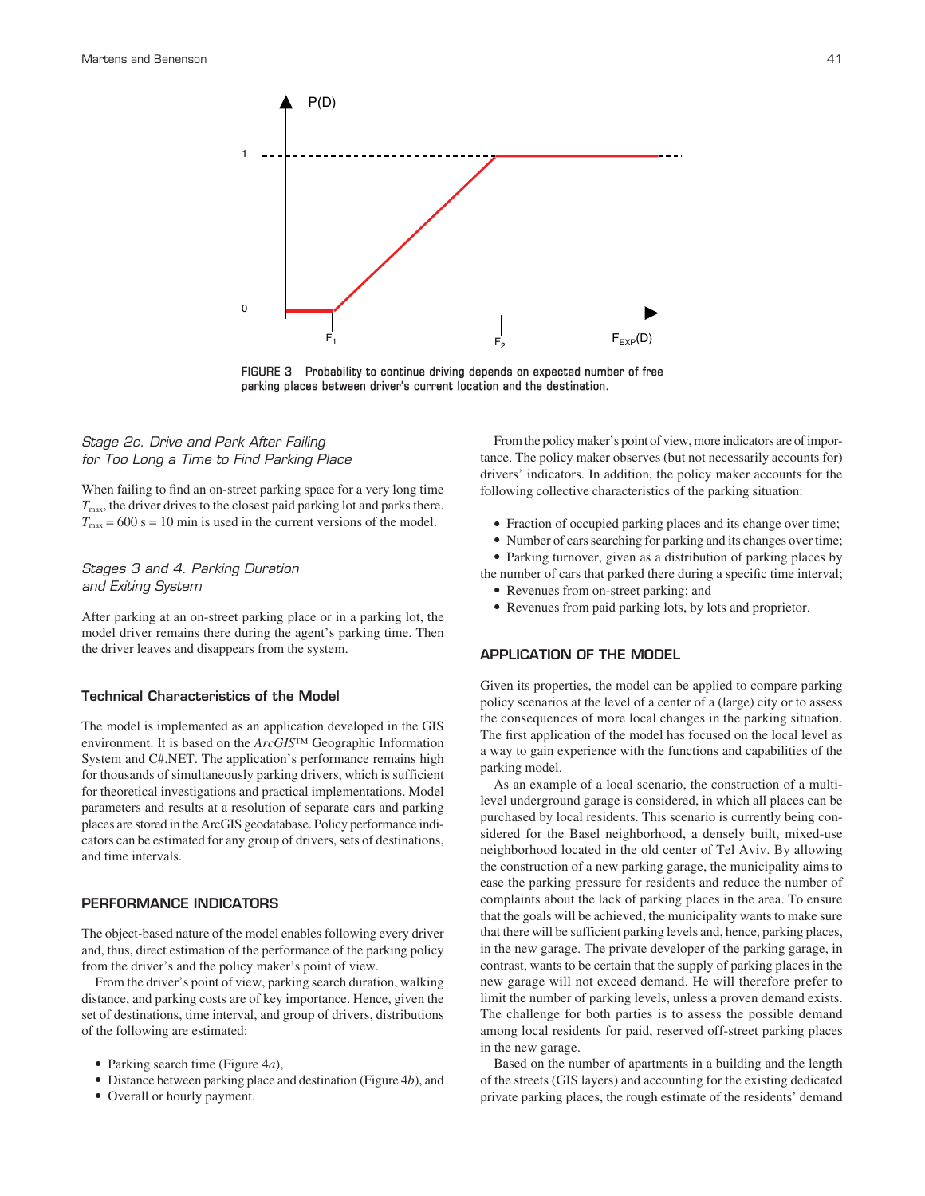

**FIGURE 3 Probability to continue driving depends on expected number of free parking places between driver's current location and the destination.**

## Stage 2c. Drive and Park After Failing for Too Long a Time to Find Parking Place

When failing to find an on-street parking space for a very long time  $T_{\text{max}}$ , the driver drives to the closest paid parking lot and parks there.  $T_{\text{max}}$  = 600 s = 10 min is used in the current versions of the model.

## Stages 3 and 4. Parking Duration and Exiting System

After parking at an on-street parking place or in a parking lot, the model driver remains there during the agent's parking time. Then the driver leaves and disappears from the system.

### **Technical Characteristics of the Model**

The model is implemented as an application developed in the GIS environment. It is based on the *ArcGIS*™ Geographic Information System and C#.NET. The application's performance remains high for thousands of simultaneously parking drivers, which is sufficient for theoretical investigations and practical implementations. Model parameters and results at a resolution of separate cars and parking places are stored in the ArcGIS geodatabase. Policy performance indicators can be estimated for any group of drivers, sets of destinations, and time intervals.

## **PERFORMANCE INDICATORS**

The object-based nature of the model enables following every driver and, thus, direct estimation of the performance of the parking policy from the driver's and the policy maker's point of view.

From the driver's point of view, parking search duration, walking distance, and parking costs are of key importance. Hence, given the set of destinations, time interval, and group of drivers, distributions of the following are estimated:

- Parking search time (Figure 4*a*),
- Distance between parking place and destination (Figure 4*b*), and
- Overall or hourly payment.

From the policy maker's point of view, more indicators are of importance. The policy maker observes (but not necessarily accounts for) drivers' indicators. In addition, the policy maker accounts for the following collective characteristics of the parking situation:

- Fraction of occupied parking places and its change over time;
- Number of cars searching for parking and its changes over time;

• Parking turnover, given as a distribution of parking places by the number of cars that parked there during a specific time interval;

- Revenues from on-street parking; and
- Revenues from paid parking lots, by lots and proprietor.

## **APPLICATION OF THE MODEL**

Given its properties, the model can be applied to compare parking policy scenarios at the level of a center of a (large) city or to assess the consequences of more local changes in the parking situation. The first application of the model has focused on the local level as a way to gain experience with the functions and capabilities of the parking model.

As an example of a local scenario, the construction of a multilevel underground garage is considered, in which all places can be purchased by local residents. This scenario is currently being considered for the Basel neighborhood, a densely built, mixed-use neighborhood located in the old center of Tel Aviv. By allowing the construction of a new parking garage, the municipality aims to ease the parking pressure for residents and reduce the number of complaints about the lack of parking places in the area. To ensure that the goals will be achieved, the municipality wants to make sure that there will be sufficient parking levels and, hence, parking places, in the new garage. The private developer of the parking garage, in contrast, wants to be certain that the supply of parking places in the new garage will not exceed demand. He will therefore prefer to limit the number of parking levels, unless a proven demand exists. The challenge for both parties is to assess the possible demand among local residents for paid, reserved off-street parking places in the new garage.

Based on the number of apartments in a building and the length of the streets (GIS layers) and accounting for the existing dedicated private parking places, the rough estimate of the residents' demand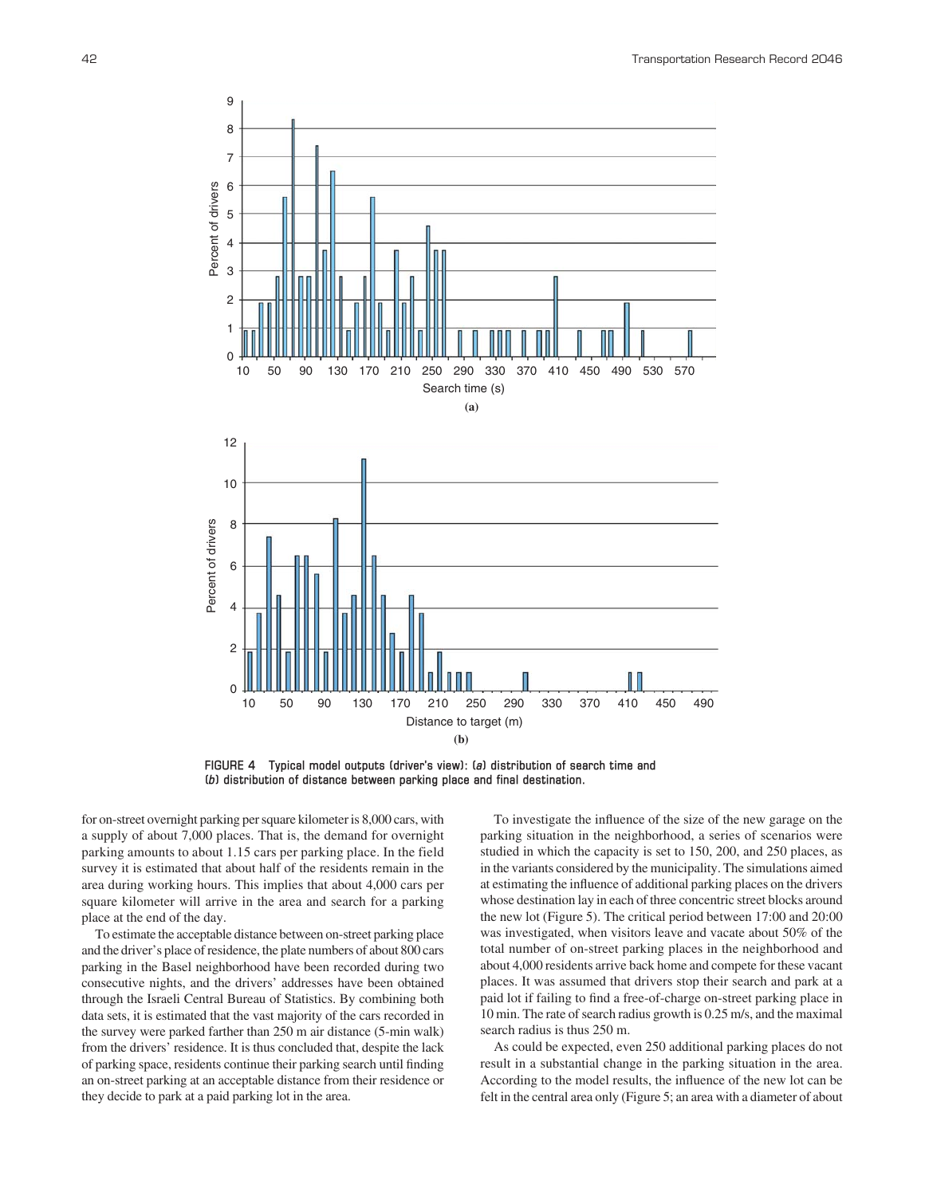

**FIGURE 4 Typical model outputs (driver's view): (***a***) distribution of search time and (***b***) distribution of distance between parking place and final destination.**

for on-street overnight parking per square kilometer is 8,000 cars, with a supply of about 7,000 places. That is, the demand for overnight parking amounts to about 1.15 cars per parking place. In the field survey it is estimated that about half of the residents remain in the area during working hours. This implies that about 4,000 cars per square kilometer will arrive in the area and search for a parking place at the end of the day.

To estimate the acceptable distance between on-street parking place and the driver's place of residence, the plate numbers of about 800 cars parking in the Basel neighborhood have been recorded during two consecutive nights, and the drivers' addresses have been obtained through the Israeli Central Bureau of Statistics. By combining both data sets, it is estimated that the vast majority of the cars recorded in the survey were parked farther than 250 m air distance (5-min walk) from the drivers' residence. It is thus concluded that, despite the lack of parking space, residents continue their parking search until finding an on-street parking at an acceptable distance from their residence or they decide to park at a paid parking lot in the area.

To investigate the influence of the size of the new garage on the parking situation in the neighborhood, a series of scenarios were studied in which the capacity is set to 150, 200, and 250 places, as in the variants considered by the municipality. The simulations aimed at estimating the influence of additional parking places on the drivers whose destination lay in each of three concentric street blocks around the new lot (Figure 5). The critical period between 17:00 and 20:00 was investigated, when visitors leave and vacate about 50% of the total number of on-street parking places in the neighborhood and about 4,000 residents arrive back home and compete for these vacant places. It was assumed that drivers stop their search and park at a paid lot if failing to find a free-of-charge on-street parking place in 10 min. The rate of search radius growth is 0.25 m/s, and the maximal search radius is thus 250 m.

As could be expected, even 250 additional parking places do not result in a substantial change in the parking situation in the area. According to the model results, the influence of the new lot can be felt in the central area only (Figure 5; an area with a diameter of about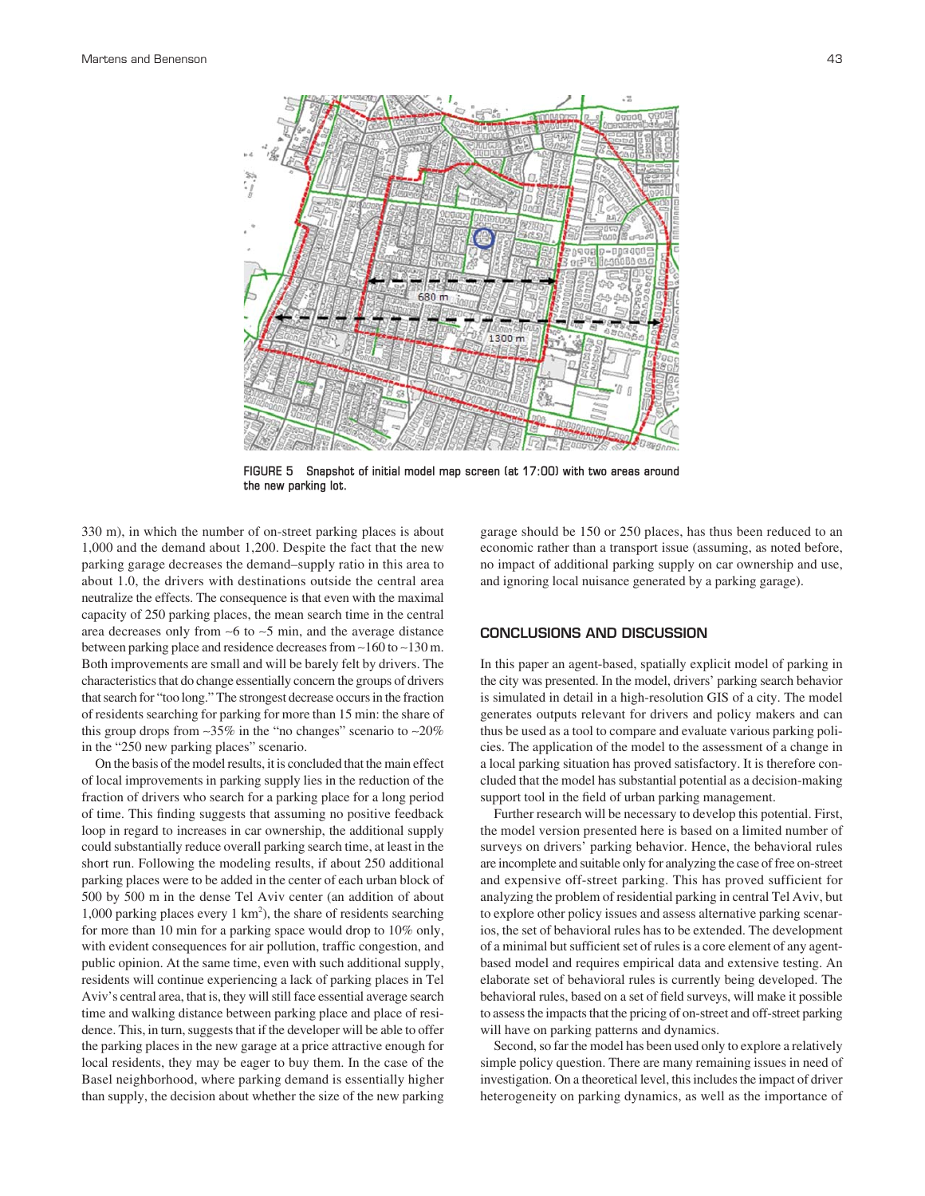

**FIGURE 5 Snapshot of initial model map screen (at 17:00) with two areas around the new parking lot.**

330 m), in which the number of on-street parking places is about 1,000 and the demand about 1,200. Despite the fact that the new parking garage decreases the demand–supply ratio in this area to about 1.0, the drivers with destinations outside the central area neutralize the effects. The consequence is that even with the maximal capacity of 250 parking places, the mean search time in the central area decreases only from ∼6 to ∼5 min, and the average distance between parking place and residence decreases from ∼160 to ∼130 m. Both improvements are small and will be barely felt by drivers. The characteristics that do change essentially concern the groups of drivers that search for "too long." The strongest decrease occurs in the fraction of residents searching for parking for more than 15 min: the share of this group drops from ∼35% in the "no changes" scenario to ∼20% in the "250 new parking places" scenario.

On the basis of the model results, it is concluded that the main effect of local improvements in parking supply lies in the reduction of the fraction of drivers who search for a parking place for a long period of time. This finding suggests that assuming no positive feedback loop in regard to increases in car ownership, the additional supply could substantially reduce overall parking search time, at least in the short run. Following the modeling results, if about 250 additional parking places were to be added in the center of each urban block of 500 by 500 m in the dense Tel Aviv center (an addition of about 1,000 parking places every  $1 \text{ km}^2$ ), the share of residents searching for more than 10 min for a parking space would drop to 10% only, with evident consequences for air pollution, traffic congestion, and public opinion. At the same time, even with such additional supply, residents will continue experiencing a lack of parking places in Tel Aviv's central area, that is, they will still face essential average search time and walking distance between parking place and place of residence. This, in turn, suggests that if the developer will be able to offer the parking places in the new garage at a price attractive enough for local residents, they may be eager to buy them. In the case of the Basel neighborhood, where parking demand is essentially higher than supply, the decision about whether the size of the new parking

garage should be 150 or 250 places, has thus been reduced to an economic rather than a transport issue (assuming, as noted before, no impact of additional parking supply on car ownership and use, and ignoring local nuisance generated by a parking garage).

#### **CONCLUSIONS AND DISCUSSION**

In this paper an agent-based, spatially explicit model of parking in the city was presented. In the model, drivers' parking search behavior is simulated in detail in a high-resolution GIS of a city. The model generates outputs relevant for drivers and policy makers and can thus be used as a tool to compare and evaluate various parking policies. The application of the model to the assessment of a change in a local parking situation has proved satisfactory. It is therefore concluded that the model has substantial potential as a decision-making support tool in the field of urban parking management.

Further research will be necessary to develop this potential. First, the model version presented here is based on a limited number of surveys on drivers' parking behavior. Hence, the behavioral rules are incomplete and suitable only for analyzing the case of free on-street and expensive off-street parking. This has proved sufficient for analyzing the problem of residential parking in central Tel Aviv, but to explore other policy issues and assess alternative parking scenarios, the set of behavioral rules has to be extended. The development of a minimal but sufficient set of rules is a core element of any agentbased model and requires empirical data and extensive testing. An elaborate set of behavioral rules is currently being developed. The behavioral rules, based on a set of field surveys, will make it possible to assess the impacts that the pricing of on-street and off-street parking will have on parking patterns and dynamics.

Second, so far the model has been used only to explore a relatively simple policy question. There are many remaining issues in need of investigation. On a theoretical level, this includes the impact of driver heterogeneity on parking dynamics, as well as the importance of